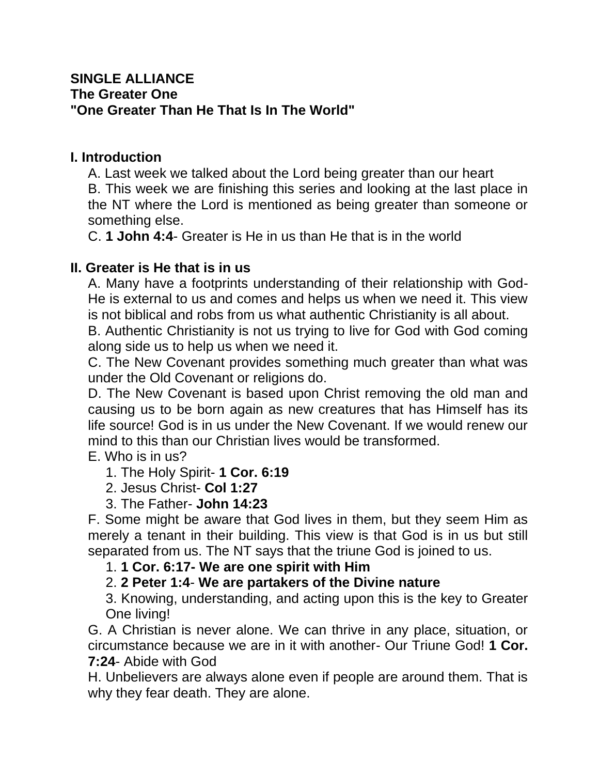#### **SINGLE ALLIANCE The Greater One "One Greater Than He That Is In The World"**

#### **I. Introduction**

A. Last week we talked about the Lord being greater than our heart B. This week we are finishing this series and looking at the last place in the NT where the Lord is mentioned as being greater than someone or something else.

C. **1 John 4:4**- Greater is He in us than He that is in the world

# **II. Greater is He that is in us**

A. Many have a footprints understanding of their relationship with God-He is external to us and comes and helps us when we need it. This view is not biblical and robs from us what authentic Christianity is all about.

B. Authentic Christianity is not us trying to live for God with God coming along side us to help us when we need it.

C. The New Covenant provides something much greater than what was under the Old Covenant or religions do.

D. The New Covenant is based upon Christ removing the old man and causing us to be born again as new creatures that has Himself has its life source! God is in us under the New Covenant. If we would renew our mind to this than our Christian lives would be transformed.

E. Who is in us?

# 1. The Holy Spirit- **1 Cor. 6:19**

2. Jesus Christ- **Col 1:27**

3. The Father- **John 14:23**

F. Some might be aware that God lives in them, but they seem Him as merely a tenant in their building. This view is that God is in us but still separated from us. The NT says that the triune God is joined to us.

#### 1. **1 Cor. 6:17- We are one spirit with Him**

# 2. **2 Peter 1:4**- **We are partakers of the Divine nature**

3. Knowing, understanding, and acting upon this is the key to Greater One living!

G. A Christian is never alone. We can thrive in any place, situation, or circumstance because we are in it with another- Our Triune God! **1 Cor. 7:24**- Abide with God

H. Unbelievers are always alone even if people are around them. That is why they fear death. They are alone.